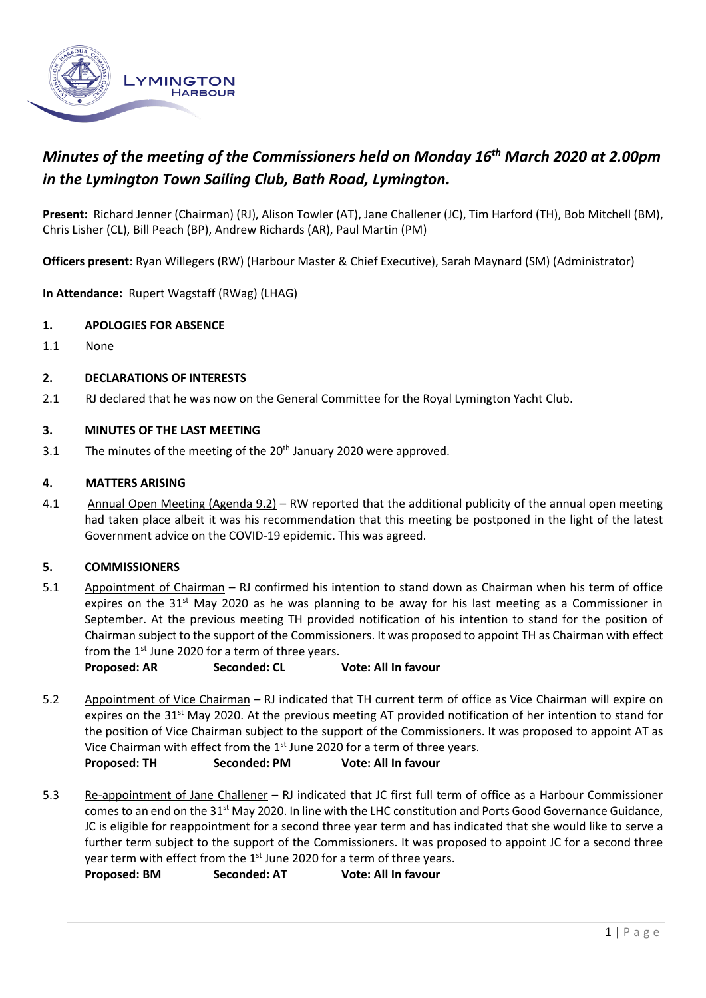

# *Minutes of the meeting of the Commissioners held on Monday 16th March 2020 at 2.00pm in the Lymington Town Sailing Club, Bath Road, Lymington.*

**Present:** Richard Jenner (Chairman) (RJ), Alison Towler (AT), Jane Challener (JC), Tim Harford (TH), Bob Mitchell (BM), Chris Lisher (CL), Bill Peach (BP), Andrew Richards (AR), Paul Martin (PM)

**Officers present**: Ryan Willegers (RW) (Harbour Master & Chief Executive), Sarah Maynard (SM) (Administrator)

**In Attendance:** Rupert Wagstaff (RWag) (LHAG)

## **1. APOLOGIES FOR ABSENCE**

1.1 None

## **2. DECLARATIONS OF INTERESTS**

2.1 RJ declared that he was now on the General Committee for the Royal Lymington Yacht Club.

## **3. MINUTES OF THE LAST MEETING**

3.1 The minutes of the meeting of the  $20<sup>th</sup>$  January 2020 were approved.

## **4. MATTERS ARISING**

4.1 Annual Open Meeting (Agenda 9.2) – RW reported that the additional publicity of the annual open meeting had taken place albeit it was his recommendation that this meeting be postponed in the light of the latest Government advice on the COVID-19 epidemic. This was agreed.

## **5. COMMISSIONERS**

5.1 Appointment of Chairman – RJ confirmed his intention to stand down as Chairman when his term of office expires on the  $31<sup>st</sup>$  May 2020 as he was planning to be away for his last meeting as a Commissioner in September. At the previous meeting TH provided notification of his intention to stand for the position of Chairman subject to the support of the Commissioners. It was proposed to appoint TH as Chairman with effect from the  $1<sup>st</sup>$  June 2020 for a term of three years.

**Proposed: AR Seconded: CL Vote: All In favour**

- 5.2 Appointment of Vice Chairman RJ indicated that TH current term of office as Vice Chairman will expire on expires on the  $31<sup>st</sup>$  May 2020. At the previous meeting AT provided notification of her intention to stand for the position of Vice Chairman subject to the support of the Commissioners. It was proposed to appoint AT as Vice Chairman with effect from the  $1<sup>st</sup>$  June 2020 for a term of three years. **Proposed: TH Seconded: PM Vote: All In favour**
- 5.3 Re-appointment of Jane Challener RJ indicated that JC first full term of office as a Harbour Commissioner comes to an end on the 31<sup>st</sup> May 2020. In line with the LHC constitution and Ports Good Governance Guidance, JC is eligible for reappointment for a second three year term and has indicated that she would like to serve a further term subject to the support of the Commissioners. It was proposed to appoint JC for a second three year term with effect from the 1<sup>st</sup> June 2020 for a term of three years. **Proposed: BM Seconded: AT Vote: All In favour**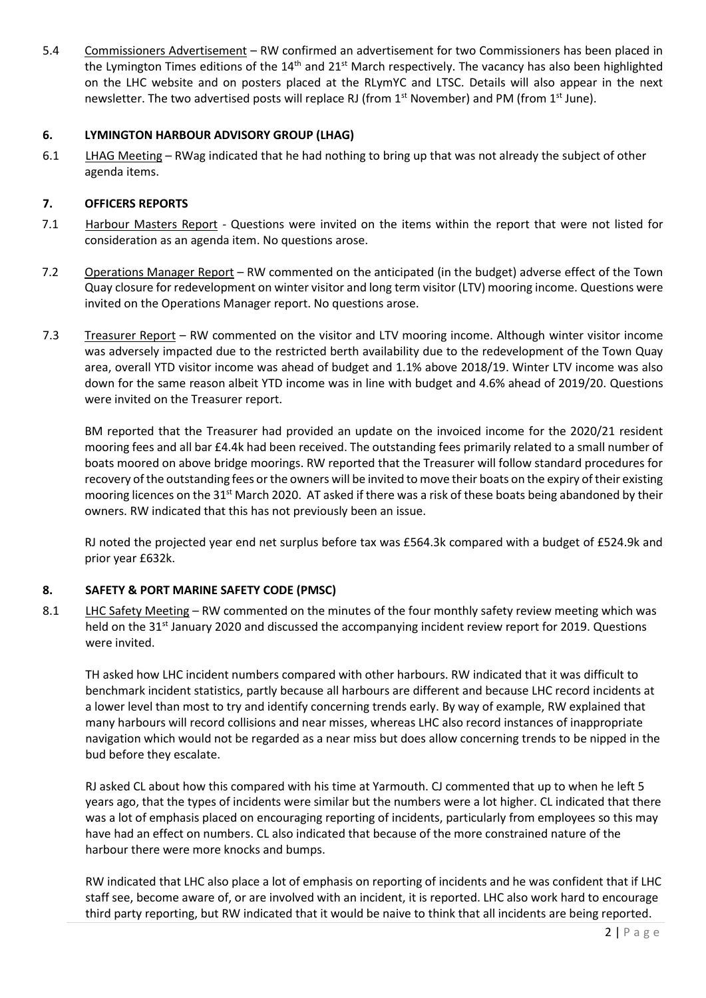5.4 Commissioners Advertisement – RW confirmed an advertisement for two Commissioners has been placed in the Lymington Times editions of the  $14<sup>th</sup>$  and  $21<sup>st</sup>$  March respectively. The vacancy has also been highlighted on the LHC website and on posters placed at the RLymYC and LTSC. Details will also appear in the next newsletter. The two advertised posts will replace RJ (from 1<sup>st</sup> November) and PM (from 1<sup>st</sup> June).

## **6. LYMINGTON HARBOUR ADVISORY GROUP (LHAG)**

6.1 LHAG Meeting – RWag indicated that he had nothing to bring up that was not already the subject of other agenda items.

## **7. OFFICERS REPORTS**

- 7.1 Harbour Masters Report Questions were invited on the items within the report that were not listed for consideration as an agenda item. No questions arose.
- 7.2 Operations Manager Report RW commented on the anticipated (in the budget) adverse effect of the Town Quay closure for redevelopment on winter visitor and long term visitor (LTV) mooring income. Questions were invited on the Operations Manager report. No questions arose.
- 7.3 Treasurer Report RW commented on the visitor and LTV mooring income. Although winter visitor income was adversely impacted due to the restricted berth availability due to the redevelopment of the Town Quay area, overall YTD visitor income was ahead of budget and 1.1% above 2018/19. Winter LTV income was also down for the same reason albeit YTD income was in line with budget and 4.6% ahead of 2019/20. Questions were invited on the Treasurer report.

BM reported that the Treasurer had provided an update on the invoiced income for the 2020/21 resident mooring fees and all bar £4.4k had been received. The outstanding fees primarily related to a small number of boats moored on above bridge moorings. RW reported that the Treasurer will follow standard procedures for recovery of the outstanding fees or the owners will be invited to move their boats on the expiry of their existing mooring licences on the 31<sup>st</sup> March 2020. AT asked if there was a risk of these boats being abandoned by their owners. RW indicated that this has not previously been an issue.

RJ noted the projected year end net surplus before tax was £564.3k compared with a budget of £524.9k and prior year £632k.

## **8. SAFETY & PORT MARINE SAFETY CODE (PMSC)**

8.1 LHC Safety Meeting – RW commented on the minutes of the four monthly safety review meeting which was held on the 31<sup>st</sup> January 2020 and discussed the accompanying incident review report for 2019. Questions were invited.

TH asked how LHC incident numbers compared with other harbours. RW indicated that it was difficult to benchmark incident statistics, partly because all harbours are different and because LHC record incidents at a lower level than most to try and identify concerning trends early. By way of example, RW explained that many harbours will record collisions and near misses, whereas LHC also record instances of inappropriate navigation which would not be regarded as a near miss but does allow concerning trends to be nipped in the bud before they escalate.

RJ asked CL about how this compared with his time at Yarmouth. CJ commented that up to when he left 5 years ago, that the types of incidents were similar but the numbers were a lot higher. CL indicated that there was a lot of emphasis placed on encouraging reporting of incidents, particularly from employees so this may have had an effect on numbers. CL also indicated that because of the more constrained nature of the harbour there were more knocks and bumps.

RW indicated that LHC also place a lot of emphasis on reporting of incidents and he was confident that if LHC staff see, become aware of, or are involved with an incident, it is reported. LHC also work hard to encourage third party reporting, but RW indicated that it would be naive to think that all incidents are being reported.